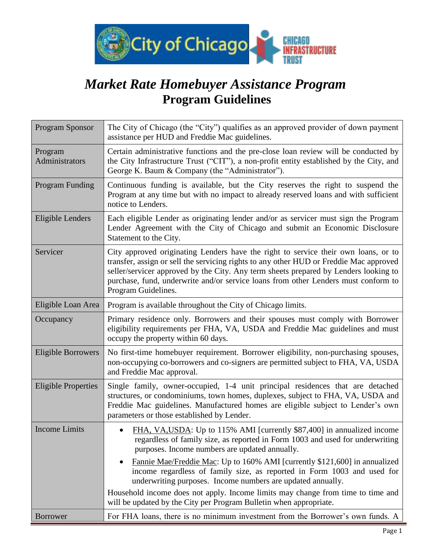

# *Market Rate Homebuyer Assistance Program* **Program Guidelines**

| <b>Program Sponsor</b>     | The City of Chicago (the "City") qualifies as an approved provider of down payment<br>assistance per HUD and Freddie Mac guidelines.                                                                                                                                                                                                                                                                                               |  |
|----------------------------|------------------------------------------------------------------------------------------------------------------------------------------------------------------------------------------------------------------------------------------------------------------------------------------------------------------------------------------------------------------------------------------------------------------------------------|--|
| Program<br>Administrators  | Certain administrative functions and the pre-close loan review will be conducted by<br>the City Infrastructure Trust ("CIT"), a non-profit entity established by the City, and<br>George K. Baum & Company (the "Administrator").                                                                                                                                                                                                  |  |
| <b>Program Funding</b>     | Continuous funding is available, but the City reserves the right to suspend the<br>Program at any time but with no impact to already reserved loans and with sufficient<br>notice to Lenders.                                                                                                                                                                                                                                      |  |
| Eligible Lenders           | Each eligible Lender as originating lender and/or as servicer must sign the Program<br>Lender Agreement with the City of Chicago and submit an Economic Disclosure<br>Statement to the City.                                                                                                                                                                                                                                       |  |
| Servicer                   | City approved originating Lenders have the right to service their own loans, or to<br>transfer, assign or sell the servicing rights to any other HUD or Freddie Mac approved<br>seller/servicer approved by the City. Any term sheets prepared by Lenders looking to<br>purchase, fund, underwrite and/or service loans from other Lenders must conform to<br>Program Guidelines.                                                  |  |
| Eligible Loan Area         | Program is available throughout the City of Chicago limits.                                                                                                                                                                                                                                                                                                                                                                        |  |
| Occupancy                  | Primary residence only. Borrowers and their spouses must comply with Borrower<br>eligibility requirements per FHA, VA, USDA and Freddie Mac guidelines and must<br>occupy the property within 60 days.                                                                                                                                                                                                                             |  |
| <b>Eligible Borrowers</b>  | No first-time homebuyer requirement. Borrower eligibility, non-purchasing spouses,<br>non-occupying co-borrowers and co-signers are permitted subject to FHA, VA, USDA<br>and Freddie Mac approval.                                                                                                                                                                                                                                |  |
| <b>Eligible Properties</b> | Single family, owner-occupied, 1-4 unit principal residences that are detached<br>structures, or condominiums, town homes, duplexes, subject to FHA, VA, USDA and<br>Freddie Mac guidelines. Manufactured homes are eligible subject to Lender's own<br>parameters or those established by Lender.                                                                                                                                 |  |
| <b>Income Limits</b>       | FHA, VA, USDA: Up to 115% AMI [currently \$87,400] in annualized income<br>regardless of family size, as reported in Form 1003 and used for underwriting<br>purposes. Income numbers are updated annually.<br>Fannie Mae/Freddie Mac: Up to 160% AMI [currently \$121,600] in annualized<br>income regardless of family size, as reported in Form 1003 and used for<br>underwriting purposes. Income numbers are updated annually. |  |
|                            | Household income does not apply. Income limits may change from time to time and<br>will be updated by the City per Program Bulletin when appropriate.                                                                                                                                                                                                                                                                              |  |
| <b>Borrower</b>            | For FHA loans, there is no minimum investment from the Borrower's own funds. A                                                                                                                                                                                                                                                                                                                                                     |  |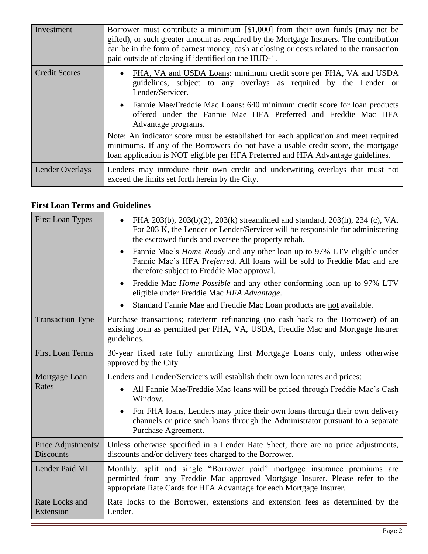| Investment           | Borrower must contribute a minimum $\lceil $1,000 \rceil$ from their own funds (may not be<br>gifted), or such greater amount as required by the Mortgage Insurers. The contribution<br>can be in the form of earnest money, cash at closing or costs related to the transaction<br>paid outside of closing if identified on the HUD-1. |  |
|----------------------|-----------------------------------------------------------------------------------------------------------------------------------------------------------------------------------------------------------------------------------------------------------------------------------------------------------------------------------------|--|
| <b>Credit Scores</b> | FHA, VA and USDA Loans: minimum credit score per FHA, VA and USDA<br>guidelines, subject to any overlays as required by the Lender or<br>Lender/Servicer.<br>Fannie Mae/Freddie Mac Loans: 640 minimum credit score for loan products<br>offered under the Fannie Mae HFA Preferred and Freddie Mac HFA<br>Advantage programs.          |  |
|                      | Note: An indicator score must be established for each application and meet required<br>minimums. If any of the Borrowers do not have a usable credit score, the mortgage<br>loan application is NOT eligible per HFA Preferred and HFA Advantage guidelines.                                                                            |  |
| Lender Overlays      | Lenders may introduce their own credit and underwriting overlays that must not<br>exceed the limits set forth herein by the City.                                                                                                                                                                                                       |  |

#### **First Loan Terms and Guidelines**

| <b>First Loan Types</b>                | FHA 203(b), 203(b)(2), 203(k) streamlined and standard, 203(h), 234 (c), VA.<br>For 203 K, the Lender or Lender/Servicer will be responsible for administering<br>the escrowed funds and oversee the property rehab.              |  |
|----------------------------------------|-----------------------------------------------------------------------------------------------------------------------------------------------------------------------------------------------------------------------------------|--|
|                                        | Fannie Mae's <i>Home Ready</i> and any other loan up to 97% LTV eligible under<br>Fannie Mae's HFA Preferred. All loans will be sold to Freddie Mac and are<br>therefore subject to Freddie Mac approval.                         |  |
|                                        | Freddie Mac <i>Home Possible</i> and any other conforming loan up to 97% LTV<br>eligible under Freddie Mac HFA Advantage.                                                                                                         |  |
|                                        | Standard Fannie Mae and Freddie Mac Loan products are not available.                                                                                                                                                              |  |
| <b>Transaction Type</b>                | Purchase transactions; rate/term refinancing (no cash back to the Borrower) of an<br>existing loan as permitted per FHA, VA, USDA, Freddie Mac and Mortgage Insurer<br>guidelines.                                                |  |
| <b>First Loan Terms</b>                | 30-year fixed rate fully amortizing first Mortgage Loans only, unless otherwise<br>approved by the City.                                                                                                                          |  |
| Mortgage Loan                          | Lenders and Lender/Servicers will establish their own loan rates and prices:                                                                                                                                                      |  |
| Rates                                  | All Fannie Mae/Freddie Mac Ioans will be priced through Freddie Mac's Cash<br>$\bullet$<br>Window.                                                                                                                                |  |
|                                        | For FHA loans, Lenders may price their own loans through their own delivery<br>$\bullet$<br>channels or price such loans through the Administrator pursuant to a separate<br>Purchase Agreement.                                  |  |
| Price Adjustments/<br><b>Discounts</b> | Unless otherwise specified in a Lender Rate Sheet, there are no price adjustments,<br>discounts and/or delivery fees charged to the Borrower.                                                                                     |  |
| Lender Paid MI                         | Monthly, split and single "Borrower paid" mortgage insurance premiums are<br>permitted from any Freddie Mac approved Mortgage Insurer. Please refer to the<br>appropriate Rate Cards for HFA Advantage for each Mortgage Insurer. |  |
| Rate Locks and<br>Extension            | Rate locks to the Borrower, extensions and extension fees as determined by the<br>Lender.                                                                                                                                         |  |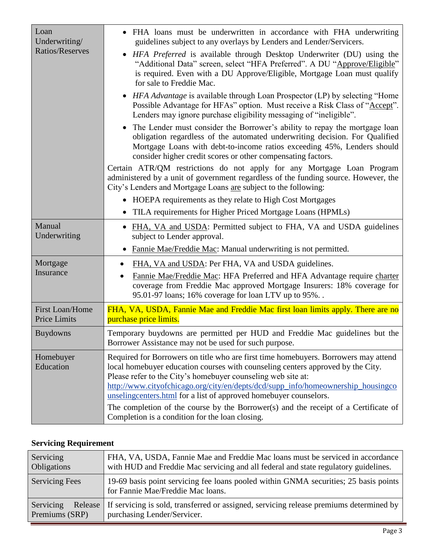| Loan<br>Underwriting/  | • FHA loans must be underwritten in accordance with FHA underwriting<br>guidelines subject to any overlays by Lenders and Lender/Servicers.                                                                                                                                                                                                                                                                                                                                            |  |
|------------------------|----------------------------------------------------------------------------------------------------------------------------------------------------------------------------------------------------------------------------------------------------------------------------------------------------------------------------------------------------------------------------------------------------------------------------------------------------------------------------------------|--|
| Ratios/Reserves        | <i>HFA Preferred</i> is available through Desktop Underwriter (DU) using the<br>"Additional Data" screen, select "HFA Preferred". A DU "Approve/Eligible"<br>is required. Even with a DU Approve/Eligible, Mortgage Loan must qualify<br>for sale to Freddie Mac.                                                                                                                                                                                                                      |  |
|                        | • <i>HFA Advantage</i> is available through Loan Prospector (LP) by selecting "Home<br>Possible Advantage for HFAs" option. Must receive a Risk Class of "Accept".<br>Lenders may ignore purchase eligibility messaging of "ineligible".                                                                                                                                                                                                                                               |  |
|                        | The Lender must consider the Borrower's ability to repay the mortgage loan<br>obligation regardless of the automated underwriting decision. For Qualified<br>Mortgage Loans with debt-to-income ratios exceeding 45%, Lenders should<br>consider higher credit scores or other compensating factors.                                                                                                                                                                                   |  |
|                        | Certain ATR/QM restrictions do not apply for any Mortgage Loan Program<br>administered by a unit of government regardless of the funding source. However, the<br>City's Lenders and Mortgage Loans are subject to the following:                                                                                                                                                                                                                                                       |  |
|                        | • HOEPA requirements as they relate to High Cost Mortgages                                                                                                                                                                                                                                                                                                                                                                                                                             |  |
|                        | TILA requirements for Higher Priced Mortgage Loans (HPMLs)                                                                                                                                                                                                                                                                                                                                                                                                                             |  |
| Manual<br>Underwriting | • FHA, VA and USDA: Permitted subject to FHA, VA and USDA guidelines<br>subject to Lender approval.                                                                                                                                                                                                                                                                                                                                                                                    |  |
|                        | Fannie Mae/Freddie Mac: Manual underwriting is not permitted.                                                                                                                                                                                                                                                                                                                                                                                                                          |  |
| Mortgage               | FHA, VA and USDA: Per FHA, VA and USDA guidelines.                                                                                                                                                                                                                                                                                                                                                                                                                                     |  |
| Insurance              | Fannie Mae/Freddie Mac: HFA Preferred and HFA Advantage require charter<br>coverage from Freddie Mac approved Mortgage Insurers: 18% coverage for<br>95.01-97 loans; 16% coverage for loan LTV up to 95%                                                                                                                                                                                                                                                                               |  |
| <b>First Loan/Home</b> | FHA, VA, USDA, Fannie Mae and Freddie Mac first loan limits apply. There are no                                                                                                                                                                                                                                                                                                                                                                                                        |  |
| <b>Price Limits</b>    | purchase price limits.                                                                                                                                                                                                                                                                                                                                                                                                                                                                 |  |
| <b>Buydowns</b>        | Temporary buydowns are permitted per HUD and Freddie Mac guidelines but the<br>Borrower Assistance may not be used for such purpose.                                                                                                                                                                                                                                                                                                                                                   |  |
| Homebuyer<br>Education | Required for Borrowers on title who are first time homebuyers. Borrowers may attend<br>local homebuyer education courses with counseling centers approved by the City.<br>Please refer to the City's homebuyer counseling web site at:<br>http://www.cityofchicago.org/city/en/depts/dcd/supp_info/homeownership_housingco<br>unselingcenters.html for a list of approved homebuyer counselors.<br>The completion of the course by the Borrower(s) and the receipt of a Certificate of |  |
|                        | Completion is a condition for the loan closing.                                                                                                                                                                                                                                                                                                                                                                                                                                        |  |

### **Servicing Requirement**

| Servicing             | FHA, VA, USDA, Fannie Mae and Freddie Mac Ioans must be serviced in accordance                                            |
|-----------------------|---------------------------------------------------------------------------------------------------------------------------|
| <b>Obligations</b>    | with HUD and Freddie Mac servicing and all federal and state regulatory guidelines.                                       |
| <b>Servicing Fees</b> | 19-69 basis point servicing fee loans pooled within GNMA securities; 25 basis points<br>for Fannie Mae/Freddie Mac loans. |
| Servicing             | Release   If servicing is sold, transferred or assigned, servicing release premiums determined by                         |
| Premiums (SRP)        | purchasing Lender/Servicer.                                                                                               |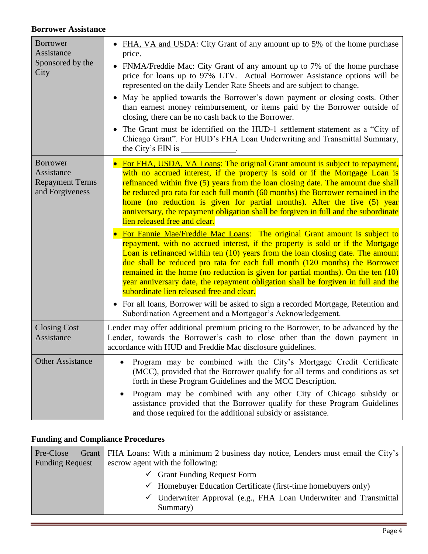#### **Borrower Assistance**

| <b>Borrower</b><br>Assistance                                              | FHA, VA and USDA: City Grant of any amount up to 5% of the home purchase<br>price.                                                                                                                                                                                                                                                                                                                                                                                                                                                                     |  |
|----------------------------------------------------------------------------|--------------------------------------------------------------------------------------------------------------------------------------------------------------------------------------------------------------------------------------------------------------------------------------------------------------------------------------------------------------------------------------------------------------------------------------------------------------------------------------------------------------------------------------------------------|--|
| Sponsored by the<br>City                                                   | $FNMA/Freddie Mac$ : City Grant of any amount up to $7\%$ of the home purchase<br>price for loans up to 97% LTV. Actual Borrower Assistance options will be<br>represented on the daily Lender Rate Sheets and are subject to change.                                                                                                                                                                                                                                                                                                                  |  |
|                                                                            | May be applied towards the Borrower's down payment or closing costs. Other<br>$\bullet$<br>than earnest money reimbursement, or items paid by the Borrower outside of<br>closing, there can be no cash back to the Borrower.                                                                                                                                                                                                                                                                                                                           |  |
|                                                                            | The Grant must be identified on the HUD-1 settlement statement as a "City of<br>$\bullet$<br>Chicago Grant". For HUD's FHA Loan Underwriting and Transmittal Summary,<br>the City's EIN is                                                                                                                                                                                                                                                                                                                                                             |  |
| <b>Borrower</b><br>Assistance<br><b>Repayment Terms</b><br>and Forgiveness | For FHA, USDA, VA Loans: The original Grant amount is subject to repayment,<br>with no accrued interest, if the property is sold or if the Mortgage Loan is<br>refinanced within five (5) years from the loan closing date. The amount due shall<br>be reduced pro rata for each full month (60 months) the Borrower remained in the<br>home (no reduction is given for partial months). After the five (5) year<br>anniversary, the repayment obligation shall be forgiven in full and the subordinate<br>lien released free and clear.               |  |
|                                                                            | For Fannie Mae/Freddie Mac Loans: The original Grant amount is subject to<br>repayment, with no accrued interest, if the property is sold or if the Mortgage<br>Loan is refinanced within ten (10) years from the loan closing date. The amount<br>due shall be reduced pro rata for each full month (120 months) the Borrower<br>remained in the home (no reduction is given for partial months). On the ten $(10)$<br>year anniversary date, the repayment obligation shall be forgiven in full and the<br>subordinate lien released free and clear. |  |
|                                                                            | • For all loans, Borrower will be asked to sign a recorded Mortgage, Retention and<br>Subordination Agreement and a Mortgagor's Acknowledgement.                                                                                                                                                                                                                                                                                                                                                                                                       |  |
| <b>Closing Cost</b><br>Assistance                                          | Lender may offer additional premium pricing to the Borrower, to be advanced by the<br>Lender, towards the Borrower's cash to close other than the down payment in<br>accordance with HUD and Freddie Mac disclosure guidelines.                                                                                                                                                                                                                                                                                                                        |  |
| <b>Other Assistance</b>                                                    | Program may be combined with the City's Mortgage Credit Certificate<br>(MCC), provided that the Borrower qualify for all terms and conditions as set<br>forth in these Program Guidelines and the MCC Description.                                                                                                                                                                                                                                                                                                                                     |  |
|                                                                            | Program may be combined with any other City of Chicago subsidy or<br>assistance provided that the Borrower qualify for these Program Guidelines<br>and those required for the additional subsidy or assistance.                                                                                                                                                                                                                                                                                                                                        |  |

### **Funding and Compliance Procedures**

| Pre-Close<br><b>Funding Request</b> | Grant   FHA Loans: With a minimum 2 business day notice, Lenders must email the City's<br>escrow agent with the following: |  |
|-------------------------------------|----------------------------------------------------------------------------------------------------------------------------|--|
|                                     | $\checkmark$ Grant Funding Request Form                                                                                    |  |
|                                     | $\checkmark$ Homebuyer Education Certificate (first-time homebuyers only)                                                  |  |
|                                     | $\checkmark$ Underwriter Approval (e.g., FHA Loan Underwriter and Transmittal                                              |  |
|                                     | Summary)                                                                                                                   |  |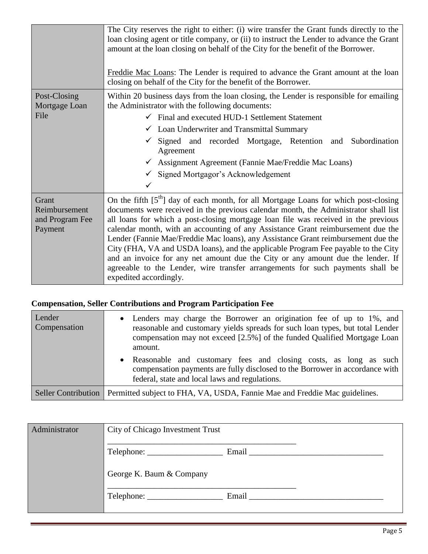|                                                      | The City reserves the right to either: (i) wire transfer the Grant funds directly to the<br>loan closing agent or title company, or (ii) to instruct the Lender to advance the Grant<br>amount at the loan closing on behalf of the City for the benefit of the Borrower.<br>Freddie Mac Loans: The Lender is required to advance the Grant amount at the loan<br>closing on behalf of the City for the benefit of the Borrower.                                                                                                                                                                                                                                                                                                 |  |  |
|------------------------------------------------------|----------------------------------------------------------------------------------------------------------------------------------------------------------------------------------------------------------------------------------------------------------------------------------------------------------------------------------------------------------------------------------------------------------------------------------------------------------------------------------------------------------------------------------------------------------------------------------------------------------------------------------------------------------------------------------------------------------------------------------|--|--|
| Post-Closing<br>Mortgage Loan<br>File                | Within 20 business days from the loan closing, the Lender is responsible for emailing<br>the Administrator with the following documents:<br>$\checkmark$ Final and executed HUD-1 Settlement Statement<br>$\checkmark$ Loan Underwriter and Transmittal Summary<br>Signed and recorded Mortgage, Retention and<br>Subordination<br>Agreement<br>← Assignment Agreement (Fannie Mae/Freddie Mac Loans)<br>$\checkmark$ Signed Mortgagor's Acknowledgement<br>✓                                                                                                                                                                                                                                                                    |  |  |
| Grant<br>Reimbursement<br>and Program Fee<br>Payment | On the fifth $[5th]$ day of each month, for all Mortgage Loans for which post-closing<br>documents were received in the previous calendar month, the Administrator shall list<br>all loans for which a post-closing mortgage loan file was received in the previous<br>calendar month, with an accounting of any Assistance Grant reimbursement due the<br>Lender (Fannie Mae/Freddie Mac Ioans), any Assistance Grant reimbursement due the<br>City (FHA, VA and USDA loans), and the applicable Program Fee payable to the City<br>and an invoice for any net amount due the City or any amount due the lender. If<br>agreeable to the Lender, wire transfer arrangements for such payments shall be<br>expedited accordingly. |  |  |

### **Compensation, Seller Contributions and Program Participation Fee**

| Lender<br>Compensation | Lenders may charge the Borrower an origination fee of up to 1%, and<br>$\bullet$<br>reasonable and customary yields spreads for such loan types, but total Lender<br>compensation may not exceed [2.5%] of the funded Qualified Mortgage Loan<br>amount. |
|------------------------|----------------------------------------------------------------------------------------------------------------------------------------------------------------------------------------------------------------------------------------------------------|
|                        | • Reasonable and customary fees and closing costs, as long as such<br>compensation payments are fully disclosed to the Borrower in accordance with<br>federal, state and local laws and regulations.                                                     |
|                        | Seller Contribution   Permitted subject to FHA, VA, USDA, Fannie Mae and Freddie Mac guidelines.                                                                                                                                                         |

| Administrator | City of Chicago Investment Trust |       |  |
|---------------|----------------------------------|-------|--|
|               |                                  |       |  |
|               | George K. Baum & Company         |       |  |
|               |                                  | Email |  |